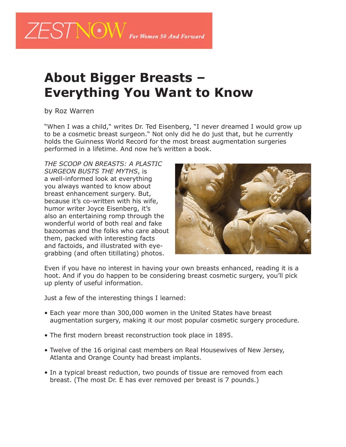

## **About Bigger Breasts – Everything You Want to Know**

by Roz Warren

"When I was a child," writes Dr. Ted Eisenberg, "I never dreamed I would grow up to be a cosmetic breast surgeon." Not only did he do just that, but he currently holds the Guinness World Record for the most breast augmentation surgeries performed in a lifetime. And now he's written a book.

*THE SCOOP ON BREASTS: A PLASTIC SURGEON BUSTS THE MYTHS*, is a well-informed look at everything you always wanted to know about breast enhancement surgery. But, because it's co-written with his wife, humor writer Joyce Eisenberg, it's also an entertaining romp through the wonderful world of both real and fake bazoomas and the folks who care about them, packed with interesting facts and factoids, and illustrated with eyegrabbing (and often titillating) photos.



Even if you have no interest in having your own breasts enhanced, reading it is a hoot. And if you do happen to be considering breast cosmetic surgery, you'll pick up plenty of useful information.

Just a few of the interesting things I learned:

- Each year more than 300,000 women in the United States have breast augmentation surgery, making it our most popular cosmetic surgery procedure.
- The first modern breast reconstruction took place in 1895.
- Twelve of the 16 original cast members on Real Housewives of New Jersey, Atlanta and Orange County had breast implants.
- In a typical breast reduction, two pounds of tissue are removed from each breast. (The most Dr. E has ever removed per breast is 7 pounds.)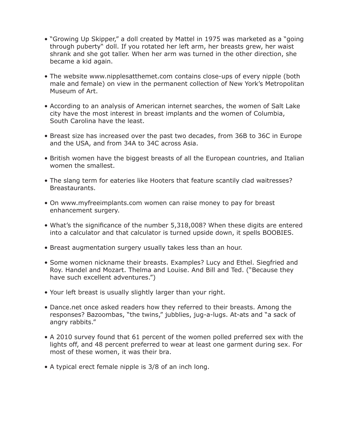- "Growing Up Skipper," a doll created by Mattel in 1975 was marketed as a "going through puberty" doll. If you rotated her left arm, her breasts grew, her waist shrank and she got taller. When her arm was turned in the other direction, she became a kid again.
- The website www.nipplesatthemet.com contains close-ups of every nipple (both male and female) on view in the permanent collection of New York's Metropolitan Museum of Art.
- According to an analysis of American internet searches, the women of Salt Lake city have the most interest in breast implants and the women of Columbia, South Carolina have the least.
- Breast size has increased over the past two decades, from 36B to 36C in Europe and the USA, and from 34A to 34C across Asia.
- British women have the biggest breasts of all the European countries, and Italian women the smallest.
- The slang term for eateries like Hooters that feature scantily clad waitresses? Breastaurants.
- On www.myfreeimplants.com women can raise money to pay for breast enhancement surgery.
- What's the significance of the number 5,318,008? When these digits are entered into a calculator and that calculator is turned upside down, it spells BOOBIES.
- Breast augmentation surgery usually takes less than an hour.
- Some women nickname their breasts. Examples? Lucy and Ethel. Siegfried and Roy. Handel and Mozart. Thelma and Louise. And Bill and Ted. ("Because they have such excellent adventures.")
- Your left breast is usually slightly larger than your right.
- Dance.net once asked readers how they referred to their breasts. Among the responses? Bazoombas, "the twins," jubblies, jug-a-lugs. At-ats and "a sack of angry rabbits."
- A 2010 survey found that 61 percent of the women polled preferred sex with the lights off, and 48 percent preferred to wear at least one garment during sex. For most of these women, it was their bra.
- A typical erect female nipple is 3/8 of an inch long.